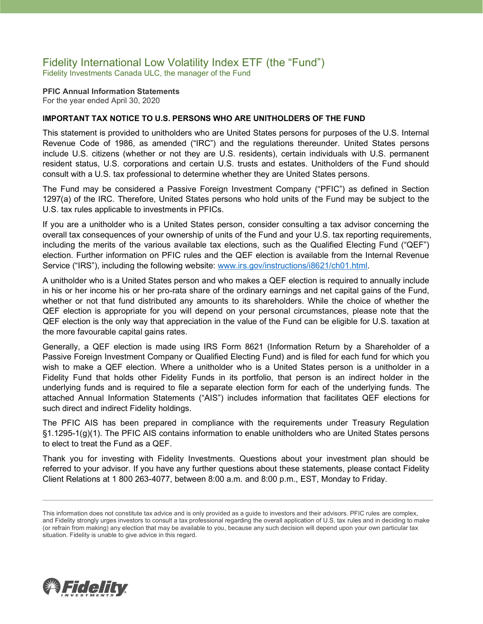### Fidelity International Low Volatility Index ETF (the "Fund") Fidelity Investments Canada ULC, the manager of the Fund

**PFIC Annual Information Statements** For the year ended April 30, 2020

### **IMPORTANT TAX NOTICE TO U.S. PERSONS WHO ARE UNITHOLDERS OF THE FUND**

This statement is provided to unitholders who are United States persons for purposes of the U.S. Internal Revenue Code of 1986, as amended ("IRC") and the regulations thereunder. United States persons include U.S. citizens (whether or not they are U.S. residents), certain individuals with U.S. permanent resident status, U.S. corporations and certain U.S. trusts and estates. Unitholders of the Fund should consult with a U.S. tax professional to determine whether they are United States persons.

The Fund may be considered a Passive Foreign Investment Company ("PFIC") as defined in Section 1297(a) of the IRC. Therefore, United States persons who hold units of the Fund may be subject to the U.S. tax rules applicable to investments in PFICs.

If you are a unitholder who is a United States person, consider consulting a tax advisor concerning the overall tax consequences of your ownership of units of the Fund and your U.S. tax reporting requirements, including the merits of the various available tax elections, such as the Qualified Electing Fund ("QEF") election. Further information on PFIC rules and the QEF election is available from the Internal Revenue Service ("IRS"), including the following website: [www.irs.gov/instructions/i8621/ch01.html.](http://www.irs.gov/instructions/i8621/ch01.html)

A unitholder who is a United States person and who makes a QEF election is required to annually include in his or her income his or her pro-rata share of the ordinary earnings and net capital gains of the Fund, whether or not that fund distributed any amounts to its shareholders. While the choice of whether the QEF election is appropriate for you will depend on your personal circumstances, please note that the QEF election is the only way that appreciation in the value of the Fund can be eligible for U.S. taxation at the more favourable capital gains rates.

Generally, a QEF election is made using IRS Form 8621 (Information Return by a Shareholder of a Passive Foreign Investment Company or Qualified Electing Fund) and is filed for each fund for which you wish to make a QEF election. Where a unitholder who is a United States person is a unitholder in a Fidelity Fund that holds other Fidelity Funds in its portfolio, that person is an indirect holder in the underlying funds and is required to file a separate election form for each of the underlying funds. The attached Annual Information Statements ("AIS") includes information that facilitates QEF elections for such direct and indirect Fidelity holdings.

The PFIC AIS has been prepared in compliance with the requirements under Treasury Regulation §1.1295-1(g)(1). The PFIC AIS contains information to enable unitholders who are United States persons to elect to treat the Fund as a QEF.

Thank you for investing with Fidelity Investments. Questions about your investment plan should be referred to your advisor. If you have any further questions about these statements, please contact Fidelity Client Relations at 1 800 263-4077, between 8:00 a.m. and 8:00 p.m., EST, Monday to Friday.



This information does not constitute tax advice and is only provided as a guide to investors and their advisors. PFIC rules are complex, and Fidelity strongly urges investors to consult a tax professional regarding the overall application of U.S. tax rules and in deciding to make (or refrain from making) any election that may be available to you, because any such decision will depend upon your own particular tax situation. Fidelity is unable to give advice in this regard.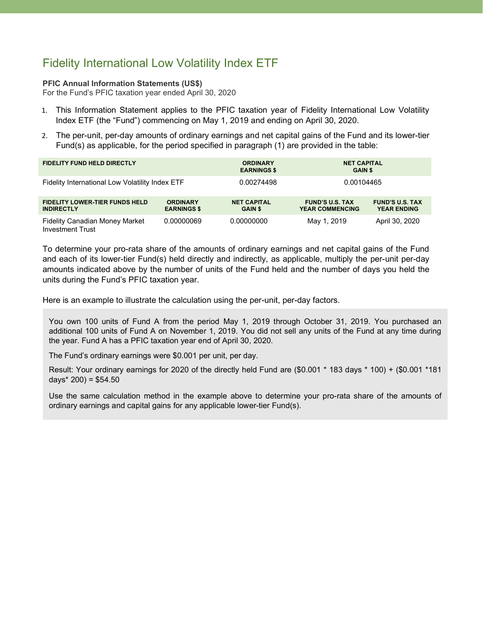# Fidelity International Low Volatility Index ETF

### **PFIC Annual Information Statements (US\$)**

For the Fund's PFIC taxation year ended April 30, 2020

- 1. This Information Statement applies to the PFIC taxation year of Fidelity International Low Volatility Index ETF (the "Fund") commencing on May 1, 2019 and ending on April 30, 2020.
- 2. The per-unit, per-day amounts of ordinary earnings and net capital gains of the Fund and its lower-tier Fund(s) as applicable, for the period specified in paragraph (1) are provided in the table:

| <b>FIDELITY FUND HELD DIRECTLY</b>                               |                                       | <b>ORDINARY</b><br><b>EARNINGS \$</b> |                                                  | <b>NET CAPITAL</b><br><b>GAIN \$</b>         |  |
|------------------------------------------------------------------|---------------------------------------|---------------------------------------|--------------------------------------------------|----------------------------------------------|--|
| Fidelity International Low Volatility Index ETF                  |                                       | 0.00274498                            | 0.00104465                                       |                                              |  |
| <b>FIDELITY LOWER-TIER FUNDS HELD</b><br><b>INDIRECTLY</b>       | <b>ORDINARY</b><br><b>EARNINGS \$</b> | <b>NET CAPITAL</b><br><b>GAIN \$</b>  | <b>FUND'S U.S. TAX</b><br><b>YEAR COMMENCING</b> | <b>FUND'S U.S. TAX</b><br><b>YEAR ENDING</b> |  |
| <b>Fidelity Canadian Money Market</b><br><b>Investment Trust</b> | 0.00000069                            | 0.00000000                            | May 1, 2019                                      | April 30, 2020                               |  |

To determine your pro-rata share of the amounts of ordinary earnings and net capital gains of the Fund and each of its lower-tier Fund(s) held directly and indirectly, as applicable, multiply the per-unit per-day amounts indicated above by the number of units of the Fund held and the number of days you held the units during the Fund's PFIC taxation year.

Here is an example to illustrate the calculation using the per-unit, per-day factors.

You own 100 units of Fund A from the period May 1, 2019 through October 31, 2019. You purchased an additional 100 units of Fund A on November 1, 2019. You did not sell any units of the Fund at any time during the year. Fund A has a PFIC taxation year end of April 30, 2020.

The Fund's ordinary earnings were \$0.001 per unit, per day.

Result: Your ordinary earnings for 2020 of the directly held Fund are (\$0.001 \* 183 days \* 100) + (\$0.001 \*181 days $*$  200) = \$54.50

Use the same calculation method in the example above to determine your pro-rata share of the amounts of ordinary earnings and capital gains for any applicable lower-tier Fund(s).